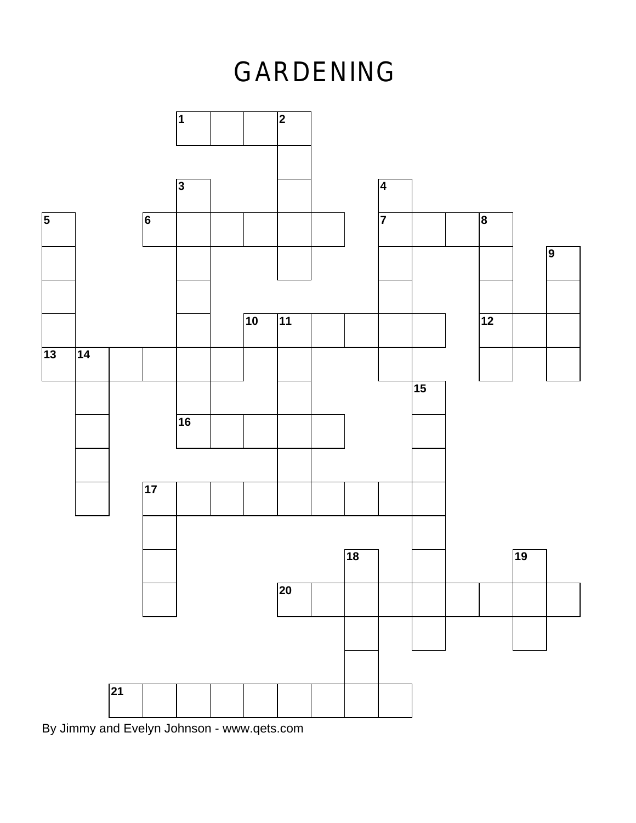## **GARDENING**



By Jimmy and Evelyn Johnson - www.qets.com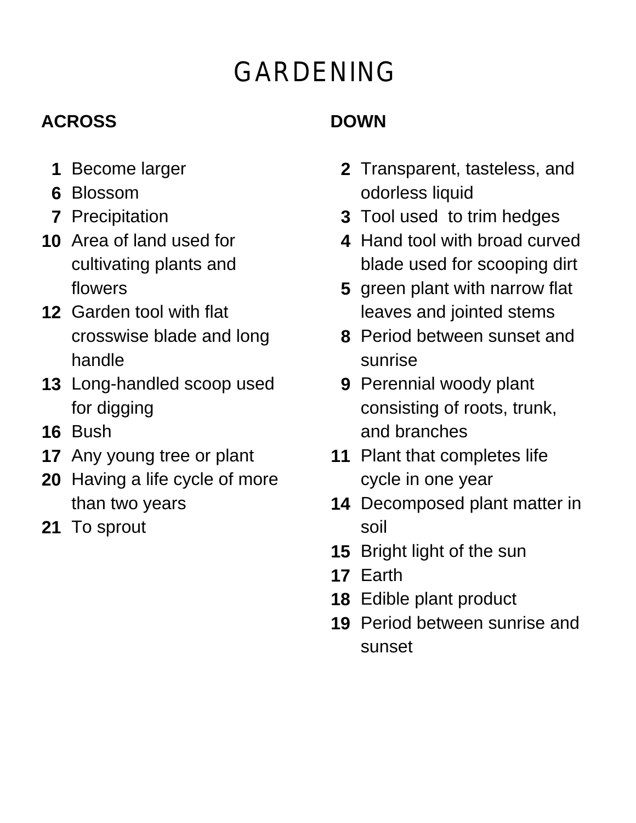# **GARDENING**

### **ACROSS**

- **1** Become larger
- **6** Blossom
- **7** Precipitation
- **10** Area of land used for cultivating plants and flowers
- **12** Garden tool with flat crosswise blade and long handle
- **13** Long-handled scoop used for digging
- **16** Bush
- **17** Any young tree or plant
- **20** Having a life cycle of more than two years
- **21** To sprout

### **DOWN**

- **2** Transparent, tasteless, and odorless liquid
- **3** Tool used to trim hedges
- **4** Hand tool with broad curved blade used for scooping dirt
- **5** green plant with narrow flat leaves and jointed stems
- **8** Period between sunset and sunrise
- **9** Perennial woody plant consisting of roots, trunk, and branches
- **11** Plant that completes life cycle in one year
- **14** Decomposed plant matter in soil
- **15** Bright light of the sun
- **17** Earth
- **18** Edible plant product
- **19** Period between sunrise and sunset